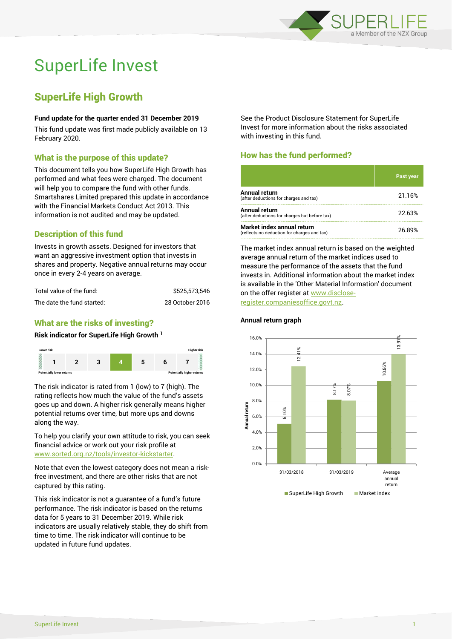

# SuperLife Invest

# SuperLife High Growth

#### **Fund update for the quarter ended 31 December 2019**

This fund update was first made publicly available on 13 February 2020.

### What is the purpose of this update?

This document tells you how SuperLife High Growth has performed and what fees were charged. The document will help you to compare the fund with other funds. Smartshares Limited prepared this update in accordance with the Financial Markets Conduct Act 2013. This information is not audited and may be updated.

# Description of this fund

Invests in growth assets. Designed for investors that want an aggressive investment option that invests in shares and property. Negative annual returns may occur once in every 2-4 years on average.

| Total value of the fund:   | \$525.573.546   |  |  |
|----------------------------|-----------------|--|--|
| The date the fund started: | 28 October 2016 |  |  |

# What are the risks of investing?

#### **Risk indicator for SuperLife High Growth <sup>1</sup>**



The risk indicator is rated from 1 (low) to 7 (high). The rating reflects how much the value of the fund's assets goes up and down. A higher risk generally means higher potential returns over time, but more ups and downs along the way.

To help you clarify your own attitude to risk, you can seek financial advice or work out your risk profile at [www.sorted.org.nz/tools/investor-kickstarter.](http://www.sorted.org.nz/tools/investor-kickstarter)

Note that even the lowest category does not mean a riskfree investment, and there are other risks that are not captured by this rating.

This risk indicator is not a guarantee of a fund's future performance. The risk indicator is based on the returns data for 5 years to 31 December 2019. While risk indicators are usually relatively stable, they do shift from time to time. The risk indicator will continue to be updated in future fund updates.

See the Product Disclosure Statement for SuperLife Invest for more information about the risks associated with investing in this fund.

## How has the fund performed?

|                                                                           | <b>Past year</b> |
|---------------------------------------------------------------------------|------------------|
| Annual return<br>(after deductions for charges and tax)                   | 21.16%           |
| Annual return<br>(after deductions for charges but before tax)            | 22.63%           |
| Market index annual return<br>(reflects no deduction for charges and tax) | 26.89%           |

The market index annual return is based on the weighted average annual return of the market indices used to measure the performance of the assets that the fund invests in. Additional information about the market index is available in the 'Other Material Information' document on the offer register at www.discloseregister.companiesoffice.govt.nz.



#### **Annual return graph**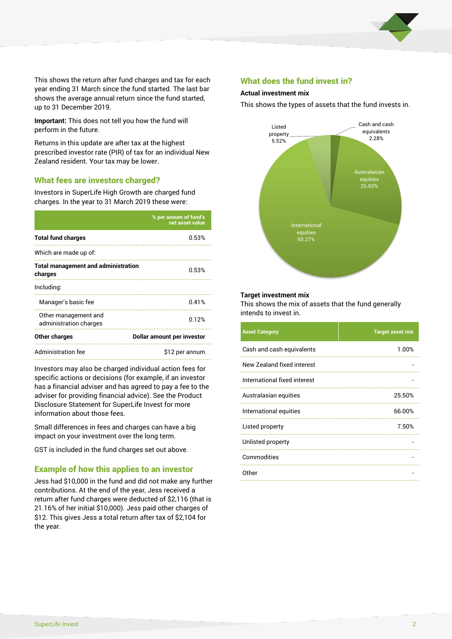

This shows the return after fund charges and tax for each year ending 31 March since the fund started. The last bar shows the average annual return since the fund started, up to 31 December 2019.

**Important:** This does not tell you how the fund will perform in the future.

Returns in this update are after tax at the highest prescribed investor rate (PIR) of tax for an individual New Zealand resident. Your tax may be lower.

#### What fees are investors charged?

Investors in SuperLife High Growth are charged fund charges. In the year to 31 March 2019 these were:

|                                                       | % per annum of fund's<br>net asset value |  |
|-------------------------------------------------------|------------------------------------------|--|
| <b>Total fund charges</b>                             | 0.53%                                    |  |
| Which are made up of:                                 |                                          |  |
| <b>Total management and administration</b><br>charges | 0.53%                                    |  |
| Including:                                            |                                          |  |
| Manager's basic fee                                   | 0.41%                                    |  |
| Other management and<br>administration charges        | 0.12%                                    |  |
| Other charges                                         | Dollar amount per investor               |  |
| Administration fee                                    | \$12 per annum                           |  |

Investors may also be charged individual action fees for specific actions or decisions (for example, if an investor has a financial adviser and has agreed to pay a fee to the adviser for providing financial advice). See the Product Disclosure Statement for SuperLife Invest for more information about those fees.

Small differences in fees and charges can have a big impact on your investment over the long term.

GST is included in the fund charges set out above.

#### Example of how this applies to an investor

Jess had \$10,000 in the fund and did not make any further contributions. At the end of the year, Jess received a return after fund charges were deducted of \$2,116 (that is 21.16% of her initial \$10,000). Jess paid other charges of \$12. This gives Jess a total return after tax of \$2,104 for the year.

#### What does the fund invest in?

#### **Actual investment mix**

This shows the types of assets that the fund invests in.



#### **Target investment mix**

This shows the mix of assets that the fund generally intends to invest in.

| <b>Asset Category</b>        | <b>Target asset mix</b> |
|------------------------------|-------------------------|
| Cash and cash equivalents    | 1.00%                   |
| New Zealand fixed interest   |                         |
| International fixed interest |                         |
| Australasian equities        | 25.50%                  |
| International equities       | 66.00%                  |
| Listed property              | 7.50%                   |
| Unlisted property            |                         |
| Commodities                  |                         |
| Other                        |                         |